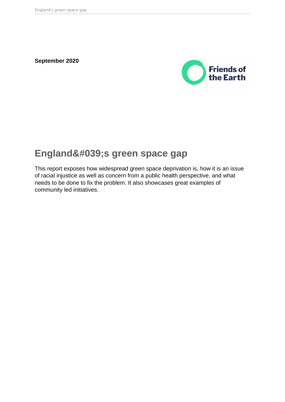**September 2020**



# England's green space gap

This report exposes how widespread green space deprivation is, how it is an issue of racial injustice as well as concern from a public health perspective, and what needs to be done to fix the problem. It also showcases great examples of community led initiatives.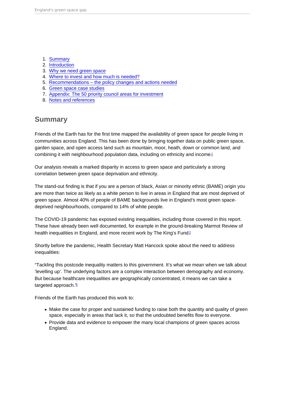- <span id="page-1-0"></span>1. Summary
- 2. [Introduction](#page-2-0)
- 3. [Why we need green space](#page-3-0)
- 4. [Where to invest and how much is needed?](#page-5-0)
- 5. [Recommendations the policy changes and actions needed](#page-9-0)
- 6. [Green space case studies](#page-10-0)
- 7. [Appendix: The 50 priority council areas for investment](#page-21-0)
- 8. [Notes and references](#page-23-0)

# Summary

Friends of the Earth has for the first time mapped the availability of green space for people living in communities across England. This has been done by bringing together data on public green space, garden space, and open access land such as mountain, moor, heath, down or common land, and combining it with neighbourhood population data, including on ethnicity and income.[1](#page-24-0)

Our analysis reveals a marked disparity in access to green space and particularly a strong correlation between green space deprivation and ethnicity.

The stand-out finding is that if you are a person of black, Asian or minority ethnic (BAME) origin you are more than twice as likely as a white person to live in areas in England that are most deprived of green space. Almost 40% of people of BAME backgrounds live in England's most green spacedeprived neighbourhoods, compared to 14% of white people.

The COVID-19 pandemic has exposed existing inequalities, including those covered in this report. These have already been well documented, for example in the ground-breaking Marmot Review of health inequalities in England, and more recent work by The King's Fund.<sup>[2](#page-24-0)</sup>

Shortly before the pandemic, Health Secretary Matt Hancock spoke about the need to address inequalities:

"Tackling this postcode inequality matters to this government. It's what we mean when we talk about 'levelling up'. The underlying factors are a complex interaction between demography and economy. But because healthcare inequalities are geographically concentrated, it means we can take a targeted approach. $3$ 

Friends of the Earth has produced this work to:

- Make the case for proper and sustained funding to raise both the quantity and quality of green space, especially in areas that lack it, so that the undoubted benefits flow to everyone.
- Provide data and evidence to empower the many local champions of green spaces across England.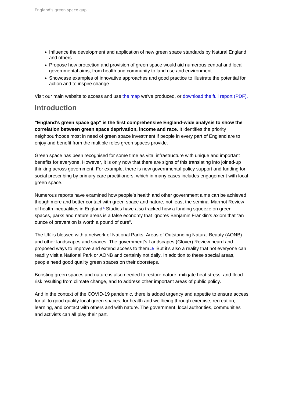- <span id="page-2-0"></span>• Influence the development and application of new green space standards by Natural England and others.
- Propose how protection and provision of green space would aid numerous central and local governmental aims, from health and community to land use and environment.
- Showcase examples of innovative approaches and good practice to illustrate the potential for action and to inspire change.

Visit our main website to access and use [the map](https://friendsoftheearth.uk/nature/access-green-space-england-are-you-missing-out) we've produced, or [download the full report \(PDF\).](https://policy.friendsoftheearth.uk/download/englands-green-space-gap-full-report) 

# Introduction

"England's green space gap" is the first comprehensive England-wide analysis to show the correlation between green space deprivation, income and race. It identifies the priority neighbourhoods most in need of green space investment if people in every part of England are to enjoy and benefit from the multiple roles green spaces provide.

Green space has been recognised for some time as vital infrastructure with unique and important benefits for everyone. However, it is only now that there are signs of this translating into joined-up thinking across government. For example, there is new governmental policy support and funding for social prescribing by primary care practitioners, which in many cases includes engagement with local green space.

Numerous reports have examined how people's health and other government aims can be achieved though more and better contact with green space and nature, not least the seminal Marmot Review of health inequalities in England $4$  Studies have also tracked how a funding squeeze on green spaces, parks and nature areas is a false economy that ignores Benjamin Franklin's axiom that "an ounce of prevention is worth a pound of cure".

The UK is blessed with a network of National Parks, Areas of Outstanding Natural Beauty (AONB) and other landscapes and spaces. The government's Landscapes (Glover) Review heard and proposed ways to improve and extend access to them $56$  $56$  But it's also a reality that not everyone can readily visit a National Park or AONB and certainly not daily. In addition to these special areas, people need good quality green spaces on their doorsteps.

Boosting green spaces and nature is also needed to restore nature, mitigate heat stress, and flood risk resulting from climate change, and to address other important areas of public policy.

And in the context of the COVID-19 pandemic, there is added urgency and appetite to ensure access for all to good quality local green spaces, for health and wellbeing through exercise, recreation, learning, and contact with others and with nature. The government, local authorities, communities and activists can all play their part.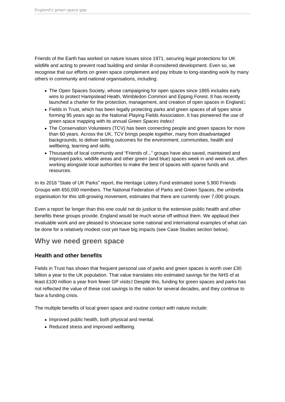<span id="page-3-0"></span>Friends of the Earth has worked on nature issues since 1971, securing legal protections for UK wildlife and acting to prevent road building and similar ill-considered development. Even so, we recognise that our efforts on green space complement and pay tribute to long-standing work by many others in community and national organisations, including:

- The Open Spaces Society, whose campaigning for open spaces since 1865 includes early wins to protect Hampstead Heath, Wimbledon Common and Epping Forest. It has recently launched a charter for the protection, management, and creation of open spaces in England $I$
- Fields in Trust, which has been legally protecting parks and green spaces of all types since forming 95 years ago as the National Playing Fields Association. It has pioneered the use of green space mapping with its annual Green Spaces Index.<sup>[8](#page-24-0)</sup>
- The Conservation Volunteers (TCV) has been connecting people and green spaces for more than 60 years. Across the UK, TCV brings people together, many from disadvantaged backgrounds, to deliver lasting outcomes for the environment, communities, health and wellbeing, learning and skills.
- Thousands of local community and "Friends of..." groups have also saved, maintained and improved parks, wildlife areas and other green (and blue) spaces week in and week out, often working alongside local authorities to make the best of spaces with sparse funds and resources.

In its 2016 "State of UK Parks" report, the Heritage Lottery Fund estimated some 5,900 Friends Groups with 650,000 members. The National Federation of Parks and Green Spaces, the umbrella organisation for this still-growing movement, estimates that there are currently over 7,000 groups.

Even a report far longer than this one could not do justice to the extensive public health and other benefits these groups provide. England would be much worse off without them. We applaud their invaluable work and are pleased to showcase some national and international examples of what can be done for a relatively modest cost yet have big impacts (see Case Studies section below).

# Why we need green space

## Health and other benefits

Fields in Trust has shown that frequent personal use of parks and green spaces is worth over £30 billion a year to the UK population. That value translates into estimated savings for the NHS of at least £100 million a year from fewer GP visits.<sup>[9](#page-24-0)</sup> Despite this, funding for green spaces and parks has not reflected the value of these cost savings to the nation for several decades, and they continue to face a funding crisis.

The multiple benefits of local green space and routine contact with nature include:

- Improved public health, both physical and mental.
- Reduced stress and improved wellbeing.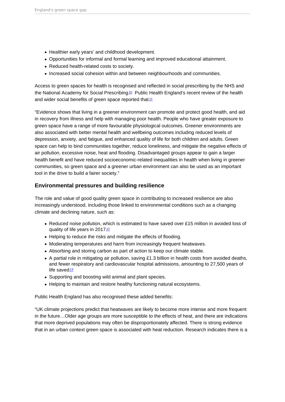- <span id="page-4-0"></span>• Healthier early years' and childhood development.
- Opportunities for informal and formal learning and improved educational attainment.
- Reduced health-related costs to society.
- Increased social cohesion within and between neighbourhoods and communities.

Access to green spaces for health is recognised and reflected in social prescribing by the NHS and the National Academy for Social Prescribing<sup>[10](#page-24-0)</sup> Public Health England's recent review of the health and wider social benefits of green space reported that.<sup>[11](#page-24-0)</sup>

"Evidence shows that living in a greener environment can promote and protect good health, and aid in recovery from illness and help with managing poor health. People who have greater exposure to green space have a range of more favourable physiological outcomes. Greener environments are also associated with better mental health and wellbeing outcomes including reduced levels of depression, anxiety, and fatigue, and enhanced quality of life for both children and adults. Green space can help to bind communities together, reduce loneliness, and mitigate the negative effects of air pollution, excessive noise, heat and flooding. Disadvantaged groups appear to gain a larger health benefit and have reduced socioeconomic-related inequalities in health when living in greener communities, so green space and a greener urban environment can also be used as an important tool in the drive to build a fairer society."

### Environmental pressures and building resilience

The role and value of good quality green space in contributing to increased resilience are also increasingly understood, including those linked to environmental conditions such as a changing climate and declining nature, such as:

- Reduced noise pollution, which is estimated to have saved over £15 million in avoided loss of quality of life years in 2017.<sup>[12](#page-24-0)</sup>
- Helping to reduce the risks and mitigate the effects of flooding.
- Moderating temperatures and harm from increasingly frequent heatwaves.
- Absorbing and storing carbon as part of action to keep our climate stable.
- A partial role in mitigating air pollution, saving £1.3 billion in health costs from avoided deaths, and fewer respiratory and cardiovascular hospital admissions, amounting to 27,500 years of life saved $13$
- Supporting and boosting wild animal and plant species.
- Helping to maintain and restore healthy functioning natural ecosystems.

Public Health England has also recognised these added benefits:

"UK climate projections predict that heatwaves are likely to become more intense and more frequent in the future…Older age groups are more susceptible to the effects of heat, and there are indications that more deprived populations may often be disproportionately affected. There is strong evidence that in an urban context green space is associated with heat reduction. Research indicates there is a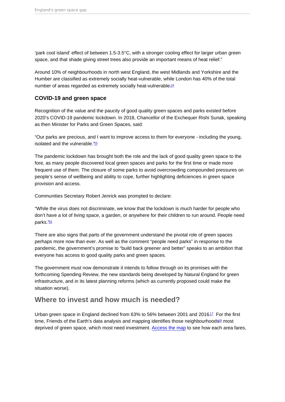<span id="page-5-0"></span>'park cool island' effect of between 1.5-3.5°C, with a stronger cooling effect for larger urban green space, and that shade giving street trees also provide an important means of heat relief."

Around 10% of neighbourhoods in north west England, the west Midlands and Yorkshire and the Humber are classified as extremely socially heat-vulnerable, while London has 40% of the total number of areas regarded as extremely socially heat-vulnerable.<sup>[14](#page-24-0)</sup>

## COVID-19 and green space

Recognition of the value and the paucity of good quality green spaces and parks existed before 2020's COVID-19 pandemic lockdown. In 2018, Chancellor of the Exchequer Rishi Sunak, speaking as then Minister for Parks and Green Spaces, said:

"Our parks are precious, and I want to improve access to them for everyone - including the young, isolated and the vulnerable."<sup>[15](#page-25-0)</sup>

The pandemic lockdown has brought both the role and the lack of good quality green space to the fore, as many people discovered local green spaces and parks for the first time or made more frequent use of them. The closure of some parks to avoid overcrowding compounded pressures on people's sense of wellbeing and ability to cope, further highlighting deficiencies in green space provision and access.

Communities Secretary Robert Jenrick was prompted to declare:

"While the virus does not discriminate, we know that the lockdown is much harder for people who don't have a lot of living space, a garden, or anywhere for their children to run around. People need parks."<sup>[16](#page-25-0)</sup>

There are also signs that parts of the government understand the pivotal role of green spaces perhaps more now than ever. As well as the comment "people need parks" in response to the pandemic, the government's promise to "build back greener and better" speaks to an ambition that everyone has access to good quality parks and green spaces.

The government must now demonstrate it intends to follow through on its promises with the forthcoming Spending Review, the new standards being developed by Natural England for green infrastructure, and in its latest planning reforms (which as currently proposed could make the situation worse).

# Where to invest and how much is needed?

Urban green space in England declined from  $63\%$  to 56% between 2001 and 2016 $1\%$  For the first time, Friends of the Earth's data analysis and mapping identifies those neighbourhoods<sup>[18](#page-25-0)</sup> most deprived of green space, which most need investment. [Access the map](https://friendsoftheearth.uk/nature/access-green-space-england-what-does-picture-look-your-area) to see how each area fares,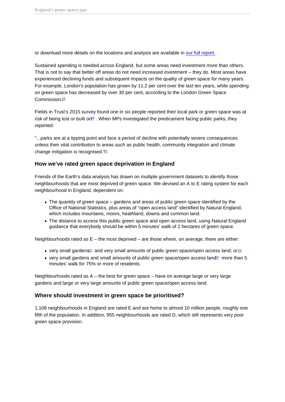<span id="page-6-0"></span>or download more details on the locations and analysis are available in [our full report.](https://policy.friendsoftheearth.uk/download/englands-green-space-gap-full-report)

Sustained spending is needed across England, but some areas need investment more than others. That is not to say that better off areas do not need increased investment – they do. Most areas have experienced declining funds and subsequent impacts on the quality of green space for many years. For example, London's population has grown by 11.2 per cent over the last ten years, while spending on green space has decreased by over 30 per cent, according to the London Green Space Commission<sup>[19](#page-25-0)</sup>

Fields in Trust's 2015 survey found one in six people reported their local park or green space was at risk of being lost or built on  $20$ . When MPs investigated the predicament facing public parks, they reported:

"...parks are at a tipping point and face a period of decline with potentially severe consequences unless their vital contribution to areas such as public health, community integration and climate change mitigation is recognised.<sup>"[21](#page-25-0)</sup>

### How we've rated green space deprivation in England

Friends of the Earth's data analysis has drawn on multiple government datasets to identify those neighbourhoods that are most deprived of green space. We devised an A to E rating system for each neighbourhood in England, dependent on:

- The quantity of green space gardens and areas of public green space identified by the Office of National Statistics, plus areas of "open access land" identified by Natural England, which includes mountains, moors, heathland, downs and common land.
- The distance to access this public green space and open access land, using Natural England guidance that everybody should be within 5 minutes' walk of 2 hectares of green space.

Neighbourhoods rated as  $E -$  the most deprived  $-$  are those where, on average, there are either:

- very small gardens<sup>[22](#page-25-0)</sup> and very small amounts of public green space/open access land; or $2<sup>3</sup>$
- very small gardens and small amounts of public green space/open access land<sup>[24](#page-25-0)</sup> more than 5 minutes' walk for 75% or more of residents.

Neighbourhoods rated as  $A -$  the best for green space – have on average large or very large gardens and large or very large amounts of public green space/open access land.

### Where should investment in green space be prioritised?

1,108 neighbourhoods in England are rated E and are home to almost 10 million people, roughly one fifth of the population. In addition, 955 neighbourhoods are rated D, which still represents very poor green space provision.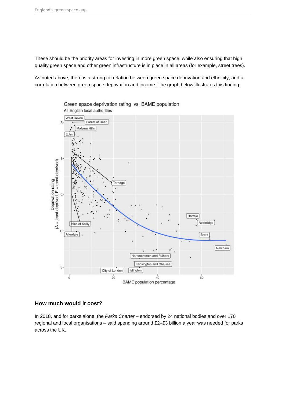These should be the priority areas for investing in more green space, while also ensuring that high quality green space and other green infrastructure is in place in all areas (for example, street trees).

As noted above, there is a strong correlation between green space deprivation and ethnicity, and a correlation between green space deprivation and income. The graph below illustrates this finding.



Green space deprivation rating vs BAME population All English local authorities

## **How much would it cost?**

In 2018, and for parks alone, the Parks Charter – endorsed by 24 national bodies and over 170 regional and local organisations – said spending around £2–£3 billion a year was needed for parks across the UK.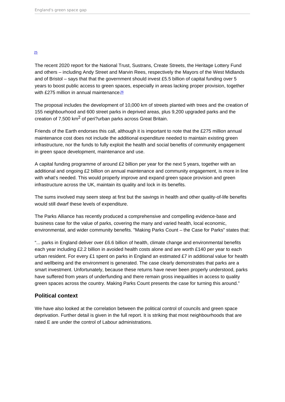#### <span id="page-8-0"></span>[25](#page-25-0)

The recent 2020 report for the National Trust, Sustrans, Create Streets, the Heritage Lottery Fund and others – including Andy Street and Marvin Rees, respectively the Mayors of the West Midlands and of Bristol – says that that the government should invest £5.5 billion of capital funding over 5 years to boost public access to green spaces, especially in areas lacking proper provision, together with £275 million in annual maintenance $\frac{26}{5}$  $\frac{26}{5}$  $\frac{26}{5}$ 

The proposal includes the development of 10,000 km of streets planted with trees and the creation of 155 neighbourhood and 600 street parks in deprived areas, plus 9,200 upgraded parks and the creation of 7,500 km2 of peri?urban parks across Great Britain.

Friends of the Earth endorses this call, although it is important to note that the £275 million annual maintenance cost does not include the additional expenditure needed to maintain existing green infrastructure, nor the funds to fully exploit the health and social benefits of community engagement in green space development, maintenance and use.

A capital funding programme of around £2 billion per year for the next 5 years, together with an additional and ongoing £2 billion on annual maintenance and community engagement, is more in line with what's needed. This would properly improve and expand green space provision and green infrastructure across the UK, maintain its quality and lock in its benefits.

The sums involved may seem steep at first but the savings in health and other quality-of-life benefits would still dwarf these levels of expenditure.

The Parks Alliance has recently produced a comprehensive and compelling evidence-base and business case for the value of parks, covering the many and varied health, local economic, environmental, and wider community benefits. "Making Parks Count – the Case for Parks" states that:

"... parks in England deliver over £6.6 billion of health, climate change and environmental benefits each year including £2.2 billion in avoided health costs alone and are worth £140 per year to each urban resident. For every £1 spent on parks in England an estimated £7 in additional value for health and wellbeing and the environment is generated. The case clearly demonstrates that parks are a smart investment. Unfortunately, because these returns have never been properly understood, parks have suffered from years of underfunding and there remain gross inequalities in access to quality green spaces across the country. Making Parks Count presents the case for turning this around."

### Political context

We have also looked at the correlation between the political control of councils and green space deprivation. Further detail is given in the full report. It is striking that most neighbourhoods that are rated E are under the control of Labour administrations.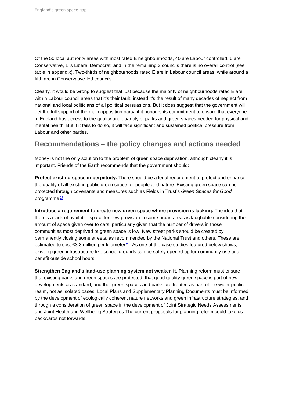<span id="page-9-0"></span>Of the 50 local authority areas with most rated E neighbourhoods, 40 are Labour controlled, 6 are Conservative, 1 is Liberal Democrat, and in the remaining 3 councils there is no overall control (see table in appendix). Two-thirds of neighbourhoods rated E are in Labour council areas, while around a fifth are in Conservative-led councils.

Clearly, it would be wrong to suggest that just because the majority of neighbourhoods rated E are within Labour council areas that it's their fault; instead it's the result of many decades of neglect from national and local politicians of all political persuasions. But it does suggest that the government will get the full support of the main opposition party, if it honours its commitment to ensure that everyone in England has access to the quality and quantity of parks and green spaces needed for physical and mental health. But if it fails to do so, it will face significant and sustained political pressure from Labour and other parties.

# Recommendations – the policy changes and actions needed

Money is not the only solution to the problem of green space deprivation, although clearly it is important. Friends of the Earth recommends that the government should:

Protect existing space in perpetuity. There should be a legal requirement to protect and enhance the quality of all existing public green space for people and nature. Existing green space can be protected through covenants and measures such as Fields in Trust's Green Spaces for Good programme<sup>[27](#page-25-0)</sup>

Introduce a requirement to create new green space where provision is lacking. The idea that there's a lack of available space for new provision in some urban areas is laughable considering the amount of space given over to cars, particularly given that the number of drivers in those communities most deprived of green space is low. New street parks should be created by permanently closing some streets, as recommended by the National Trust and others. These are estimated to cost £3.3 million per kilometer $28$  As one of the case studies featured below shows, existing green infrastructure like school grounds can be safely opened up for community use and benefit outside school hours.

Strengthen England's land-use planning system not weaken it. Planning reform must ensure that existing parks and green spaces are protected, that good quality green space is part of new developments as standard, and that green spaces and parks are treated as part of the wider public realm, not as isolated oases. Local Plans and Supplementary Planning Documents must be informed by the development of ecologically coherent nature networks and green infrastructure strategies, and through a consideration of green space in the development of Joint Strategic Needs Assessments and Joint Health and Wellbeing Strategies.The current proposals for planning reform could take us backwards not forwards.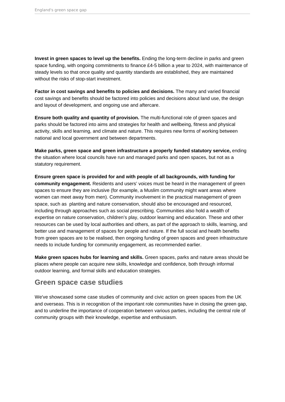<span id="page-10-0"></span>**Invest in green spaces to level up the benefits.** Ending the long-term decline in parks and green space funding, with ongoing commitments to finance £4-5 billion a year to 2024, with maintenance of steady levels so that once quality and quantity standards are established, they are maintained without the risks of stop-start investment.

**Factor in cost savings and benefits to policies and decisions.** The many and varied financial cost savings and benefits should be factored into policies and decisions about land use, the design and layout of development, and ongoing use and aftercare.

**Ensure both quality and quantity of provision.** The multi-functional role of green spaces and parks should be factored into aims and strategies for health and wellbeing, fitness and physical activity, skills and learning, and climate and nature. This requires new forms of working between national and local government and between departments.

**Make parks, green space and green infrastructure a properly funded statutory service,** ending the situation where local councils have run and managed parks and open spaces, but not as a statutory requirement.

**Ensure green space is provided for and with people of all backgrounds, with funding for community engagement.** Residents and users' voices must be heard in the management of green spaces to ensure they are inclusive (for example, a Muslim community might want areas where women can meet away from men). Community involvement in the practical management of green space, such as planting and nature conservation, should also be encouraged and resourced, including through approaches such as social prescribing. Communities also hold a wealth of expertise on nature conservation, children's play, outdoor learning and education. These and other resources can be used by local authorities and others, as part of the approach to skills, learning, and better use and management of spaces for people and nature. If the full social and health benefits from green spaces are to be realised, then ongoing funding of green spaces and green infrastructure needs to include funding for community engagement, as recommended earlier.

**Make green spaces hubs for learning and skills.** Green spaces, parks and nature areas should be places where people can acquire new skills, knowledge and confidence, both through informal outdoor learning, and formal skills and education strategies.

# **Green space case studies**

We've showcased some case studies of community and civic action on green spaces from the UK and overseas. This is in recognition of the important role communities have in closing the green gap, and to underline the importance of cooperation between various parties, including the central role of community groups with their knowledge, expertise and enthusiasm.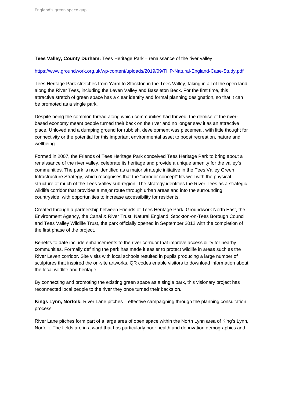Tees Valley, County Durham: Tees Heritage Park – renaissance of the river valley

#### <https://www.groundwork.org.uk/wp-content/uploads/2019/09/THP-Natural-England-Case-Study.pdf>

Tees Heritage Park stretches from Yarm to Stockton in the Tees Valley, taking in all of the open land along the River Tees, including the Leven Valley and Bassleton Beck. For the first time, this attractive stretch of green space has a clear identity and formal planning designation, so that it can be promoted as a single park.

Despite being the common thread along which communities had thrived, the demise of the riverbased economy meant people turned their back on the river and no longer saw it as an attractive place. Unloved and a dumping ground for rubbish, development was piecemeal, with little thought for connectivity or the potential for this important environmental asset to boost recreation, nature and wellbeing.

Formed in 2007, the Friends of Tees Heritage Park conceived Tees Heritage Park to bring about a renaissance of the river valley, celebrate its heritage and provide a unique amenity for the valley's communities. The park is now identified as a major strategic initiative in the Tees Valley Green Infrastructure Strategy, which recognises that the "corridor concept" fits well with the physical structure of much of the Tees Valley sub-region. The strategy identifies the River Tees as a strategic wildlife corridor that provides a major route through urban areas and into the surrounding countryside, with opportunities to increase accessibility for residents.

Created through a partnership between Friends of Tees Heritage Park, Groundwork North East, the Environment Agency, the Canal & River Trust, Natural England, Stockton-on-Tees Borough Council and Tees Valley Wildlife Trust, the park officially opened in September 2012 with the completion of the first phase of the project.

Benefits to date include enhancements to the river corridor that improve accessibility for nearby communities. Formally defining the park has made it easier to protect wildlife in areas such as the River Leven corridor. Site visits with local schools resulted in pupils producing a large number of sculptures that inspired the on-site artworks. QR codes enable visitors to download information about the local wildlife and heritage.

By connecting and promoting the existing green space as a single park, this visionary project has reconnected local people to the river they once turned their backs on.

Kings Lynn, Norfolk: River Lane pitches – effective campaigning through the planning consultation process

River Lane pitches form part of a large area of open space within the North Lynn area of King's Lynn, Norfolk. The fields are in a ward that has particularly poor health and deprivation demographics and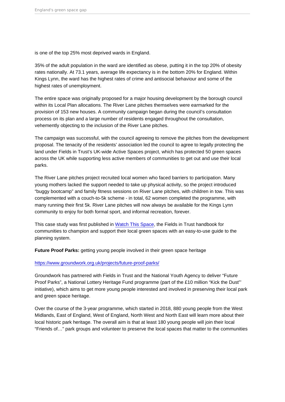is one of the top 25% most deprived wards in England.

35% of the adult population in the ward are identified as obese, putting it in the top 20% of obesity rates nationally. At 73.1 years, average life expectancy is in the bottom 20% for England. Within Kings Lynn, the ward has the highest rates of crime and antisocial behaviour and some of the highest rates of unemployment.

The entire space was originally proposed for a major housing development by the borough council within its Local Plan allocations. The River Lane pitches themselves were earmarked for the provision of 153 new houses. A community campaign began during the council's consultation process on its plan and a large number of residents engaged throughout the consultation, vehemently objecting to the inclusion of the River Lane pitches.

The campaign was successful, with the council agreeing to remove the pitches from the development proposal. The tenacity of the residents' association led the council to agree to legally protecting the land under Fields in Trust's UK-wide Active Spaces project, which has protected 50 green spaces across the UK while supporting less active members of communities to get out and use their local parks.

The River Lane pitches project recruited local women who faced barriers to participation. Many young mothers lacked the support needed to take up physical activity, so the project introduced "buggy bootcamp" and family fitness sessions on River Lane pitches, with children in tow. This was complemented with a couch-to-5k scheme - in total, 62 women completed the programme, with many running their first 5k. River Lane pitches will now always be available for the Kings Lynn community to enjoy for both formal sport, and informal recreation, forever.

This case study was first published in [Watch This Space,](http://www.fieldsintrust.org/watch-this-space) the Fields in Trust handbook for communities to champion and support their local green spaces with an easy-to-use guide to the planning system.

Future Proof Parks: getting young people involved in their green space heritage

#### <https://www.groundwork.org.uk/projects/future-proof-parks/>

Groundwork has partnered with Fields in Trust and the National Youth Agency to deliver "Future Proof Parks", a National Lottery Heritage Fund programme (part of the £10 million "Kick the Dust"' initiative), which aims to get more young people interested and involved in preserving their local park and green space heritage.

Over the course of the 3-year programme, which started in 2018, 880 young people from the West Midlands, East of England, West of England, North West and North East will learn more about their local historic park heritage. The overall aim is that at least 180 young people will join their local "Friends of…" park groups and volunteer to preserve the local spaces that matter to the communities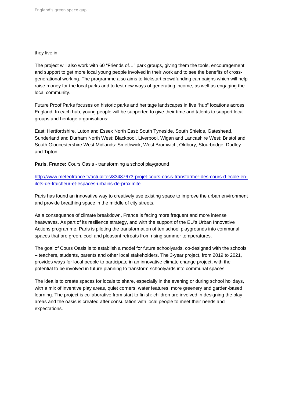#### they live in.

The project will also work with 60 "Friends of…" park groups, giving them the tools, encouragement, and support to get more local young people involved in their work and to see the benefits of crossgenerational working. The programme also aims to kickstart crowdfunding campaigns which will help raise money for the local parks and to test new ways of generating income, as well as engaging the local community.

Future Proof Parks focuses on historic parks and heritage landscapes in five "hub" locations across England. In each hub, young people will be supported to give their time and talents to support local groups and heritage organisations:

East: Hertfordshire, Luton and Essex North East: South Tyneside, South Shields, Gateshead, Sunderland and Durham North West: Blackpool, Liverpool, Wigan and Lancashire West: Bristol and South Gloucestershire West Midlands: Smethwick, West Bromwich, Oldbury, Stourbridge, Dudley and Tipton

Paris , France: Cours Oasis - transforming a school playground

[http://www.meteofrance.fr/actualites/83487673-projet-cours-oasis-transformer-des-cours-d-ecole-en](http://www.meteofrance.fr/actualites/83487673-projet-cours-oasis-transformer-des-cours-d-ecole-en-ilots-de-fraicheur-et-espaces-urbains-de-proximite)[ilots-de-fraicheur-et-espaces-urbains-de-proximite](http://www.meteofrance.fr/actualites/83487673-projet-cours-oasis-transformer-des-cours-d-ecole-en-ilots-de-fraicheur-et-espaces-urbains-de-proximite)

Paris has found an innovative way to creatively use existing space to improve the urban environment and provide breathing space in the middle of city streets.

As a consequence of climate breakdown, France is facing more frequent and more intense heatwaves. As part of its resilience strategy, and with the support of the EU's Urban Innovative Actions programme, Paris is piloting the transformation of ten school playgrounds into communal spaces that are green, cool and pleasant retreats from rising summer temperatures.

The goal of Cours Oasis is to establish a model for future schoolyards, co-designed with the schools – teachers, students, parents and other local stakeholders. The 3-year project, from 2019 to 2021, provides ways for local people to participate in an innovative climate change project, with the potential to be involved in future planning to transform schoolyards into communal spaces.

The idea is to create spaces for locals to share, especially in the evening or during school holidays, with a mix of inventive play areas, quiet corners, water features, more greenery and garden-based learning. The project is collaborative from start to finish: children are involved in designing the play areas and the oasis is created after consultation with local people to meet their needs and expectations.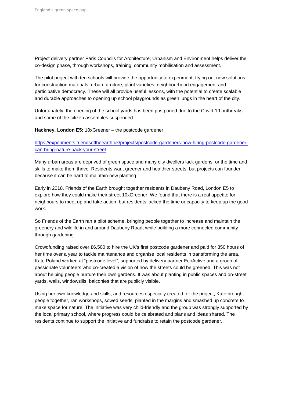Project delivery partner Paris Councils for Architecture, Urbanism and Environment helps deliver the co-design phase, through workshops, training, community mobilisation and assessment.

The pilot project with ten schools will provide the opportunity to experiment, trying out new solutions for construction materials, urban furniture, plant varieties, neighbourhood engagement and participative democracy. These will all provide useful lessons, with the potential to create scalable and durable approaches to opening up school playgrounds as green lungs in the heart of the city.

Unfortunately, the opening of the school yards has been postponed due to the Covid-19 outbreaks and some of the citizen assembles suspended.

Hackney, London E5: 10xGreener – the postcode gardener

[https://experiments.friendsoftheearth.uk/projects/postcode-gardeners-how-hiring-postcode-gardener](https://experiments.friendsoftheearth.uk/projects/postcode-gardeners-how-hiring-postcode-gardener-can-bring-nature-back-your-street)[can-bring-nature-back-your-street](https://experiments.friendsoftheearth.uk/projects/postcode-gardeners-how-hiring-postcode-gardener-can-bring-nature-back-your-street)

Many urban areas are deprived of green space and many city dwellers lack gardens, or the time and skills to make them thrive. Residents want greener and healthier streets, but projects can founder because it can be hard to maintain new planting.

Early in 2018, Friends of the Earth brought together residents in Daubeny Road, London E5 to explore how they could make their street 10xGreener. We found that there is a real appetite for neighbours to meet up and take action, but residents lacked the time or capacity to keep up the good work.

So Friends of the Earth ran a pilot scheme, bringing people together to increase and maintain the greenery and wildlife in and around Daubeny Road, while building a more connected community through gardening.

Crowdfunding raised over £6,500 to hire the UK's first postcode gardener and paid for 350 hours of her time over a year to tackle maintenance and organise local residents in transforming the area. Kate Poland worked at "postcode level", supported by delivery partner EcoActive and a group of passionate volunteers who co-created a vision of how the streets could be greened. This was not about helping people nurture their own gardens. It was about planting in public spaces and on-street yards, walls, windowsills, balconies that are publicly visible.

Using her own knowledge and skills, and resources especially created for the project, Kate brought people together, ran workshops, sowed seeds, planted in the margins and smashed up concrete to make space for nature. The initiative was very child-friendly and the group was strongly supported by the local primary school, where progress could be celebrated and plans and ideas shared. The residents continue to support the initiative and fundraise to retain the postcode gardener.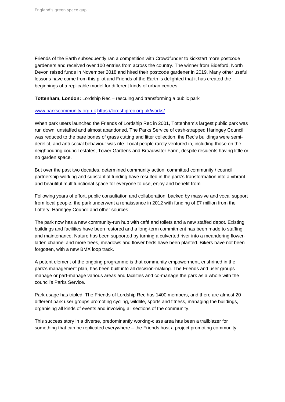Friends of the Earth subsequently ran a competition with Crowdfunder to kickstart more postcode gardeners and received over 100 entries from across the country. The winner from Bideford, North Devon raised funds in November 2018 and hired their postcode gardener in 2019. Many other useful lessons have come from this pilot and Friends of the Earth is delighted that it has created the beginnings of a replicable model for different kinds of urban centres.

Tottenham, London: Lordship Rec – rescuing and transforming a public park

#### [www.parkscommunity.org.uk](http://www.parkscommunity.org.uk) <https://lordshiprec.org.uk/works/>

When park users launched the Friends of Lordship Rec in 2001, Tottenham's largest public park was run down, unstaffed and almost abandoned. The Parks Service of cash-strapped Haringey Council was reduced to the bare bones of grass cutting and litter collection, the Rec's buildings were semiderelict, and anti-social behaviour was rife. Local people rarely ventured in, including those on the neighbouring council estates, Tower Gardens and Broadwater Farm, despite residents having little or no garden space.

But over the past two decades, determined community action, committed community / council partnership-working and substantial funding have resulted in the park's transformation into a vibrant and beautiful multifunctional space for everyone to use, enjoy and benefit from.

Following years of effort, public consultation and collaboration, backed by massive and vocal support from local people, the park underwent a renaissance in 2012 with funding of £7 million from the Lottery, Haringey Council and other sources.

The park now has a new community-run hub with café and toilets and a new staffed depot. Existing buildings and facilities have been restored and a long-term commitment has been made to staffing and maintenance. Nature has been supported by turning a culverted river into a meandering flowerladen channel and more trees, meadows and flower beds have been planted. Bikers have not been forgotten, with a new BMX loop track.

A potent element of the ongoing programme is that community empowerment, enshrined in the park's management plan, has been built into all decision-making. The Friends and user groups manage or part-manage various areas and facilities and co-manage the park as a whole with the council's Parks Service.

Park usage has tripled. The Friends of Lordship Rec has 1400 members, and there are almost 20 different park user groups promoting cycling, wildlife, sports and fitness, managing the buildings, organising all kinds of events and involving all sections of the community.

This success story in a diverse, predominantly working-class area has been a trailblazer for something that can be replicated everywhere – the Friends host a project promoting community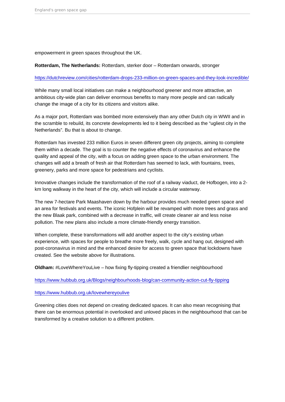empowerment in green spaces throughout the UK.

Rotterdam, The Netherlands: Rotterdam, sterker door – Rotterdam onwards, stronger

#### <https://dutchreview.com/cities/rotterdam-drops-233-million-on-green-spaces-and-they-look-incredible/>

While many small local initiatives can make a neighbourhood greener and more attractive, an ambitious city-wide plan can deliver enormous benefits to many more people and can radically change the image of a city for its citizens and visitors alike.

As a major port, Rotterdam was bombed more extensively than any other Dutch city in WWII and in the scramble to rebuild, its concrete developments led to it being described as the "ugliest city in the Netherlands". Bu that is about to change.

Rotterdam has invested 233 million Euros in seven different green city projects, aiming to complete them within a decade. The goal is to counter the negative effects of coronavirus and enhance the quality and appeal of the city, with a focus on adding green space to the urban environment. The changes will add a breath of fresh air that Rotterdam has seemed to lack, with fountains, trees, greenery, parks and more space for pedestrians and cyclists.

Innovative changes include the transformation of the roof of a railway viaduct, de Hofbogen, into a 2 km long walkway in the heart of the city, which will include a circular waterway.

The new 7-hectare Park Maashaven down by the harbour provides much needed green space and an area for festivals and events. The iconic Hofplein will be revamped with more trees and grass and the new Blaak park, combined with a decrease in traffic, will create cleaner air and less noise pollution. The new plans also include a more climate-friendly energy transition.

When complete, these transformations will add another aspect to the city's existing urban experience, with spaces for people to breathe more freely, walk, cycle and hang out, designed with post-coronavirus in mind and the enhanced desire for access to green space that lockdowns have created. See the website above for illustrations.

Oldham: #LoveWhereYouLive – how fixing fly-tipping created a friendlier neighbourhood

#### <https://www.hubbub.org.uk/Blogs/neighbourhoods-blog/can-community-action-cut-fly-tipping>

#### <https://www.hubbub.org.uk/lovewhereyoulive>

Greening cities does not depend on creating dedicated spaces. It can also mean recognising that there can be enormous potential in overlooked and unloved places in the neighbourhood that can be transformed by a creative solution to a different problem.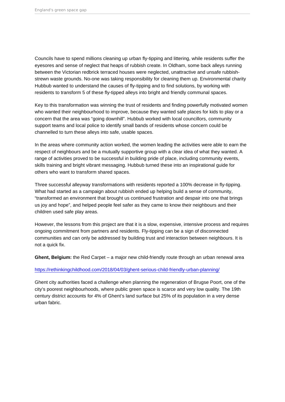Councils have to spend millions cleaning up urban fly-tipping and littering, while residents suffer the eyesores and sense of neglect that heaps of rubbish create. In Oldham, some back alleys running between the Victorian redbrick terraced houses were neglected, unattractive and unsafe rubbishstrewn waste grounds. No-one was taking responsibility for cleaning them up. Environmental charity Hubbub wanted to understand the causes of fly-tipping and to find solutions, by working with residents to transform 5 of these fly-tipped alleys into bright and friendly communal spaces.

Key to this transformation was winning the trust of residents and finding powerfully motivated women who wanted their neighbourhood to improve, because they wanted safe places for kids to play or a concern that the area was "going downhill". Hubbub worked with local councillors, community support teams and local police to identify small bands of residents whose concern could be channelled to turn these alleys into safe, usable spaces.

In the areas where community action worked, the women leading the activities were able to earn the respect of neighbours and be a mutually supportive group with a clear idea of what they wanted. A range of activities proved to be successful in building pride of place, including community events, skills training and bright vibrant messaging. Hubbub turned these into an inspirational guide for others who want to transform shared spaces.

Three successful alleyway transformations with residents reported a 100% decrease in fly-tipping. What had started as a campaign about rubbish ended up helping build a sense of community, "transformed an environment that brought us continued frustration and despair into one that brings us joy and hope", and helped people feel safer as they came to know their neighbours and their children used safe play areas.

However, the lessons from this project are that it is a slow, expensive, intensive process and requires ongoing commitment from partners and residents. Fly-tipping can be a sign of disconnected communities and can only be addressed by building trust and interaction between neighbours. It is not a quick fix.

Ghent, Belgium: the Red Carpet – a major new child-friendly route through an urban renewal area

### [https://rethinkingchildhood.com/2018/04/03/ghent-serious-child-friendly-urban-planning/](https://eur02.safelinks.protection.outlook.com/?url=https://rethinkingchildhood.com/2018/04/03/ghent-serious-child-friendly-urban-planning/&data=02|01||809c92c4f9644bef7f2608d82e486d3c|7218049aa6554e919178f36890fbfd94|1|1|637310235899833870&sdata=pMjnhd6gbPTxYqkyCujSVxzhzUf7gIP9TaPbJF4PcSM=&reserved=0)

Ghent city authorities faced a challenge when planning the regeneration of Brugse Poort, one of the city's poorest neighbourhoods, where public green space is scarce and very low quality. The 19th century district accounts for 4% of Ghent's land surface but 25% of its population in a very dense urban fabric.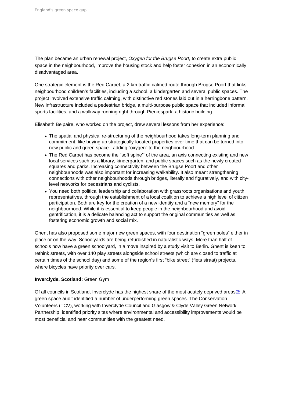<span id="page-18-0"></span>The plan became an urban renewal project, Oxygen for the Brugse Poort, to create extra public space in the neighbourhood, improve the housing stock and help foster cohesion in an economically disadvantaged area.

One strategic element is the Red Carpet, a 2 km traffic-calmed route through Brugse Poort that links neighbourhood children's facilities, including a school, a kindergarten and several public spaces. The project involved extensive traffic calming, with distinctive red stones laid out in a herringbone pattern. New infrastructure included a pedestrian bridge, a multi-purpose public space that included informal sports facilities, and a walkway running right through Pierkespark, a historic building.

Elisabeth Belpaire, who worked on the project, drew several lessons from her experience:

- The spatial and physical re-structuring of the neighbourhood takes long-term planning and commitment, like buying up strategically-located properties over time that can be turned into new public and green space - adding "oxygen" to the neighbourhood.
- The Red Carpet has become the "soft spine"' of the area, an axis connecting existing and new local services such as a library, kindergarten, and public spaces such as the newly created squares and parks. Increasing connectivity between the Brugse Poort and other neighbourhoods was also important for increasing walkability. It also meant strengthening connections with other neighbourhoods through bridges, literally and figuratively, and with citylevel networks for pedestrians and cyclists.
- You need both political leadership and collaboration with grassroots organisations and youth representatives, through the establishment of a local coalition to achieve a high level of citizen participation. Both are key for the creation of a new identity and a "new memory" for the neighbourhood. While it is essential to keep people in the neighbourhood and avoid gentrification, it is a delicate balancing act to support the original communities as well as fostering economic growth and social mix.

Ghent has also proposed some major new green spaces, with four destination "green poles" either in place or on the way. Schoolyards are being refurbished in naturalistic ways. More than half of schools now have a green schoolyard, in a move inspired by a study visit to Berlin. Ghent is keen to rethink streets, with over 140 play streets alongside school streets (which are closed to traffic at certain times of the school day) and some of the region's first "bike street" (fiets straat) projects, where bicycles have priority over cars.

### Inverclyde, Scotland: Green Gym

Of all councils in Scotland, Inverclyde has the highest share of the most acutely deprived areas.<sup>[29](#page-25-0)</sup> A green space audit identified a number of underperforming green spaces. The Conservation Volunteers (TCV), working with Inverclyde Council and Glasgow & Clyde Valley Green Network Partnership, identified priority sites where environmental and accessibility improvements would be most beneficial and near communities with the greatest need.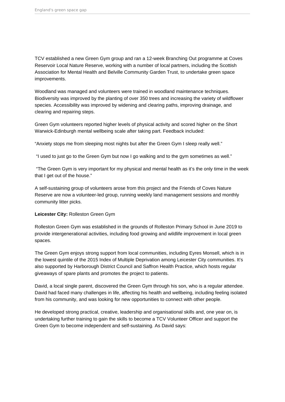TCV established a new Green Gym group and ran a 12-week Branching Out programme at Coves Reservoir Local Nature Reserve, working with a number of local partners, including the Scottish Association for Mental Health and Belville Community Garden Trust, to undertake green space improvements.

Woodland was managed and volunteers were trained in woodland maintenance techniques. Biodiversity was improved by the planting of over 350 trees and increasing the variety of wildflower species. Accessibility was improved by widening and clearing paths, improving drainage, and clearing and repairing steps.

Green Gym volunteers reported higher levels of physical activity and scored higher on the Short Warwick-Edinburgh mental wellbeing scale after taking part. Feedback included:

"Anxiety stops me from sleeping most nights but after the Green Gym I sleep really well."

"I used to just go to the Green Gym but now I go walking and to the gym sometimes as well."

 "The Green Gym is very important for my physical and mental health as it's the only time in the week that I get out of the house."

A self-sustaining group of volunteers arose from this project and the Friends of Coves Nature Reserve are now a volunteer-led group, running weekly land management sessions and monthly community litter picks.

#### **Leicester City:** Rolleston Green Gym

Rolleston Green Gym was established in the grounds of Rolleston Primary School in June 2019 to provide intergenerational activities, including food growing and wildlife improvement in local green spaces.

The Green Gym enjoys strong support from local communities, including Eyres Monsell, which is in the lowest quintile of the 2015 Index of Multiple Deprivation among Leicester City communities. It's also supported by Harborough District Council and Saffron Health Practice, which hosts regular giveaways of spare plants and promotes the project to patients.

David, a local single parent, discovered the Green Gym through his son, who is a regular attendee. David had faced many challenges in life, affecting his health and wellbeing, including feeling isolated from his community, and was looking for new opportunities to connect with other people.

He developed strong practical, creative, leadership and organisational skills and, one year on, is undertaking further training to gain the skills to become a TCV Volunteer Officer and support the Green Gym to become independent and self-sustaining. As David says: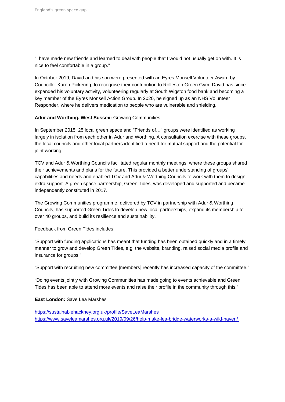"I have made new friends and learned to deal with people that I would not usually get on with. It is nice to feel comfortable in a group."

In October 2019, David and his son were presented with an Eyres Monsell Volunteer Award by Councillor Karen Pickering, to recognise their contribution to Rolleston Green Gym. David has since expanded his voluntary activity, volunteering regularly at South Wigston food bank and becoming a key member of the Eyres Monsell Action Group. In 2020, he signed up as an NHS Volunteer Responder, where he delivers medication to people who are vulnerable and shielding.

Adur and Worthing, West Sussex: Growing Communities

In September 2015, 25 local green space and "Friends of…" groups were identified as working largely in isolation from each other in Adur and Worthing. A consultation exercise with these groups, the local councils and other local partners identified a need for mutual support and the potential for joint working.

TCV and Adur & Worthing Councils facilitated regular monthly meetings, where these groups shared their achievements and plans for the future. This provided a better understanding of groups' capabilities and needs and enabled TCV and Adur & Worthing Councils to work with them to design extra support. A green space partnership, Green Tides, was developed and supported and became independently constituted in 2017.

The Growing Communities programme, delivered by TCV in partnership with Adur & Worthing Councils, has supported Green Tides to develop new local partnerships, expand its membership to over 40 groups, and build its resilience and sustainability.

Feedback from Green Tides includes:

"Support with funding applications has meant that funding has been obtained quickly and in a timely manner to grow and develop Green Tides, e.g. the website, branding, raised social media profile and insurance for groups."

"Support with recruiting new committee [members] recently has increased capacity of the committee."

"Doing events jointly with Growing Communities has made going to events achievable and Green Tides has been able to attend more events and raise their profile in the community through this."

East London: Save Lea Marshes

<https://sustainablehackney.org.uk/profile/SaveLeaMarshes> [https://www.saveleamarshes.org.uk/2019/09/26/help-make-lea-bridge-waterworks-a-wild-haven/](https://www.saveleamarshes.org.uk/2019/09/26/help-make-lea-bridge-waterworks-a-wild-haven/ )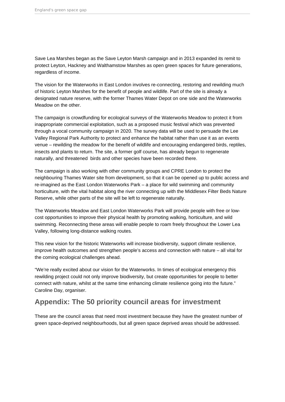<span id="page-21-0"></span>Save Lea Marshes began as the Save Leyton Marsh campaign and in 2013 expanded its remit to protect Leyton, Hackney and Walthamstow Marshes as open green spaces for future generations, regardless of income.

The vision for the Waterworks in East London involves re-connecting, restoring and rewilding much of historic Leyton Marshes for the benefit of people and wildlife. Part of the site is already a designated nature reserve, with the former Thames Water Depot on one side and the Waterworks Meadow on the other.

The campaign is crowdfunding for ecological surveys of the Waterworks Meadow to protect it from inappropriate commercial exploitation, such as a proposed music festival which was prevented through a vocal community campaign in 2020. The survey data will be used to persuade the Lee Valley Regional Park Authority to protect and enhance the habitat rather than use it as an events venue – rewilding the meadow for the benefit of wildlife and encouraging endangered birds, reptiles, insects and plants to return. The site, a former golf course, has already begun to regenerate naturally, and threatened birds and other species have been recorded there.

The campaign is also working with other community groups and CPRE London to protect the neighbouring Thames Water site from development, so that it can be opened up to public access and re-imagined as the East London Waterworks Park – a place for wild swimming and community horticulture, with the vital habitat along the river connecting up with the Middlesex Filter Beds Nature Reserve, while other parts of the site will be left to regenerate naturally.

The Waterworks Meadow and East London Waterworks Park will provide people with free or lowcost opportunities to improve their physical health by promoting walking, horticulture, and wild swimming. Reconnecting these areas will enable people to roam freely throughout the Lower Lea Valley, following long-distance walking routes.

This new vision for the historic Waterworks will increase biodiversity, support climate resilience, improve health outcomes and strengthen people's access and connection with nature – all vital for the coming ecological challenges ahead.

"We're really excited about our vision for the Waterworks. In times of ecological emergency this rewilding project could not only improve biodiversity, but create opportunities for people to better connect with nature, whilst at the same time enhancing climate resilience going into the future." Caroline Day, organiser.

# **Appendix: The 50 priority council areas for investment**

These are the council areas that need most investment because they have the greatest number of green space-deprived neighbourhoods, but all green space deprived areas should be addressed.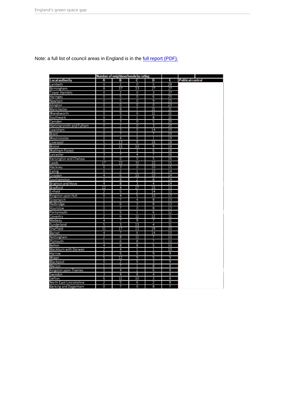Note: a full list of council areas in England is in the [full report \(PDF\).](https://policy.friendsoftheearth.uk/download/englands-green-space-gap-full-report)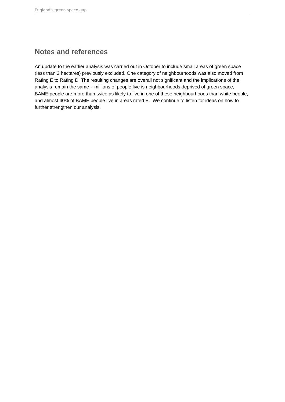# <span id="page-23-0"></span>**Notes and references**

An update to the earlier analysis was carried out in October to include small areas of green space (less than 2 hectares) previously excluded. One category of neighbourhoods was also moved from Rating E to Rating D. The resulting changes are overall not significant and the implications of the analysis remain the same – millions of people live is neighbourhoods deprived of green space, BAME people are more than twice as likely to live in one of these neighbourhoods than white people, and almost 40% of BAME people live in areas rated E. We continue to listen for ideas on how to further strengthen our analysis.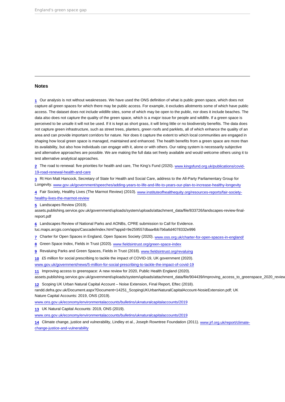#### <span id="page-24-0"></span>Notes

[1](#page-1-0) Our analysis is not without weaknesses. We have used the ONS definition of what is public green space, which does not capture all green spaces for which there may be public access. For example, it excludes allotments some of which have public access. The dataset does not include wildlife sites, some of which may be open to the public, nor does it include beaches. The data also does not capture the quality of the green space, which is a major issue for people and wildlife. If a green space is perceived to be unsafe it will not be used. If it is kept as short grass, it will bring little or no biodiversity benefits. The data does not capture green infrastructure, such as street trees, planters, green roofs and parklets, all of which enhance the quality of an area and can provide important corridors for nature. Nor does it capture the extent to which local communities are engaged in shaping how local green space is managed, maintained and enhanced. The health benefits from a green space are more than its availability, but also how individuals can engage with it, alone or with others. Our rating system is necessarily subjective and alternative approaches are possible. We are making the full data set freely available and would welcome others using it to test alternative analytical approaches.

[2](#page-1-0) The road to renewal: five priorities for health and care, The King's Fund (2020). [www.kingsfund.org.uk/publications/covid-](http://www.kingsfund.org.uk/publications/covid-19-road-renewal-health-and-care)[19-road-renewal-health-and-care](http://www.kingsfund.org.uk/publications/covid-19-road-renewal-health-and-care)

[3](#page-1-0) Rt Hon Matt Hancock, Secretary of State for Health and Social Care, address to the All-Party Parliamentary Group for Longevity. [www.gov.uk/government/speeches/adding-years-to-life-and-life-to-years-our-plan-to-increase-healthy-longevity](http://www.gov.uk/government/speeches/adding-years-to-life-and-life-to-years-our-plan-to-increase-healthy-longevity)

[4](#page-2-0) Fair Society, Healthy Lives (The Marmot Review) (2010). [www.instituteofhealthequity.org/resources-reports/fair-society](http://www.instituteofhealthequity.org/resources-reports/fair-society-healthy-lives-the-marmot-review)[healthy-lives-the-marmot-review](http://www.instituteofhealthequity.org/resources-reports/fair-society-healthy-lives-the-marmot-review)

[5](#page-2-0) Landscapes Review (2019).

assets.publishing.service.gov.uk/government/uploads/system/uploads/attachment\_data/file/833726/landscapes-review-finalreport.pdf

[6](#page-2-0) Landscapes Review of National Parks and AONBs, CPRE submission to Call for Evidence.

luc.maps.arcgis.com/apps/Cascade/index.html?appid=9e259557dbaa4bb7b6a6d4078332e996

[7](#page-3-0) Charter for Open Spaces in England, Open Spaces Society (2020). [www.oss.org.uk/charter-for-open-spaces-in-england/](http://www.oss.org.uk/charter-for-open-spaces-in-england/)

[8](#page-3-0) Green Space Index, Fields in Trust (2020). [www.fieldsintrust.org/green-space-index](http://www.fieldsintrust.org/green-space-index)

[9](#page-3-0) Revaluing Parks and Green Spaces, Fields in Trust (2018). [www.fieldsintrust.org/revaluing](http://www.fieldsintrust.org/revaluing)

[10](#page-4-0) £5 million for social prescribing to tackle the impact of COVID-19, UK government (2020). [www.gov.uk/government/news/5-million-for-social-prescribing-to-tackle-the-impact-of-covid-19](http://www.gov.uk/government/news/5-million-for-social-prescribing-to-tackle-the-impact-of-covid-19)

[11](#page-4-0) Improving access to greenspace: A new review for 2020, Public Health England (2020).

assets.publishing.service.gov.uk/government/uploads/system/uploads/attachment\_data/file/904439/Improving\_access\_to\_greenspace\_2020\_review.pdf

[12](#page-4-0) Scoping UK Urban Natural Capital Account – Noise Extension, Final Report, Eftec (2018).

randd.defra.gov.uk/Document.aspx?Document=14251\_ScopingUKUrbanNaturalCapitalAccount-NosieExtension.pdf; UK Nature Capital Accounts: 2019, ONS (2019).

[www.ons.gov.uk/economy/environmentalaccounts/bulletins/uknaturalcapitalaccounts/2019](http://www.ons.gov.uk/economy/environmentalaccounts/bulletins/uknaturalcapitalaccounts/2019)

[13](#page-4-0) UK Natural Capital Accounts: 2019, ONS (2019).

[www.ons.gov.uk/economy/environmentalaccounts/bulletins/uknaturalcapitalaccounts/2019](http://www.ons.gov.uk/economy/environmentalaccounts/bulletins/uknaturalcapitalaccounts/2019)

[14](#page-5-0) Climate change, justice and vulnerability, Lindley et al., Joseph Rowntree Foundation (2011). [www.jrf.org.uk/report/climate](http://www.jrf.org.uk/report/climate-change-justice-and-vulnerability)[change-justice-and-vulnerability](http://www.jrf.org.uk/report/climate-change-justice-and-vulnerability)